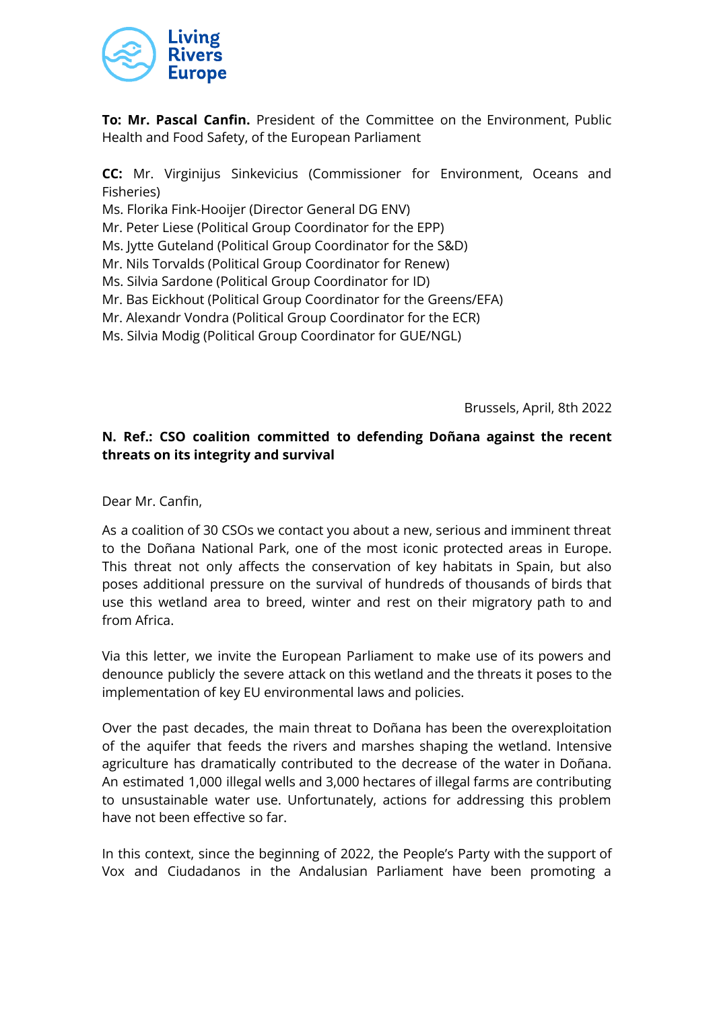

**To: Mr. Pascal Canfin.** President of the Committee on the Environment, Public Health and Food Safety, of the European Parliament

**CC:** Mr. Virginijus Sinkevicius (Commissioner for Environment, Oceans and Fisheries)

Ms. Florika Fink-Hooijer (Director General DG ENV)

Mr. Peter Liese (Political Group Coordinator for the EPP)

Ms. Jytte Guteland (Political Group Coordinator for the S&D)

- Mr. Nils Torvalds (Political Group Coordinator for Renew)
- Ms. Silvia Sardone (Political Group Coordinator for ID)
- Mr. Bas Eickhout (Political Group Coordinator for the Greens/EFA)
- Mr. Alexandr Vondra (Political Group Coordinator for the ECR)

Ms. Silvia Modig (Political Group Coordinator for GUE/NGL)

Brussels, April, 8th 2022

## **N. Ref.: CSO coalition committed to defending Doñana against the recent threats on its integrity and survival**

Dear Mr. Canfin,

As a coalition of 30 CSOs we contact you about a new, serious and imminent threat to the Doñana National Park, one of the most iconic protected areas in Europe. This threat not only affects the conservation of key habitats in Spain, but also poses additional pressure on the survival of hundreds of thousands of birds that use this wetland area to breed, winter and rest on their migratory path to and from Africa.

Via this letter, we invite the European Parliament to make use of its powers and denounce publicly the severe attack on this wetland and the threats it poses to the implementation of key EU environmental laws and policies.

Over the past decades, the main threat to Doñana has been the overexploitation of the aquifer that feeds the rivers and marshes shaping the wetland. Intensive agriculture has dramatically contributed to the decrease of the water in Doñana. An estimated 1,000 illegal wells and 3,000 hectares of illegal farms are contributing to unsustainable water use. Unfortunately, actions for addressing this problem have not been effective so far.

In this context, since the beginning of 2022, the People's Party with the support of Vox and Ciudadanos in the Andalusian Parliament have been promoting a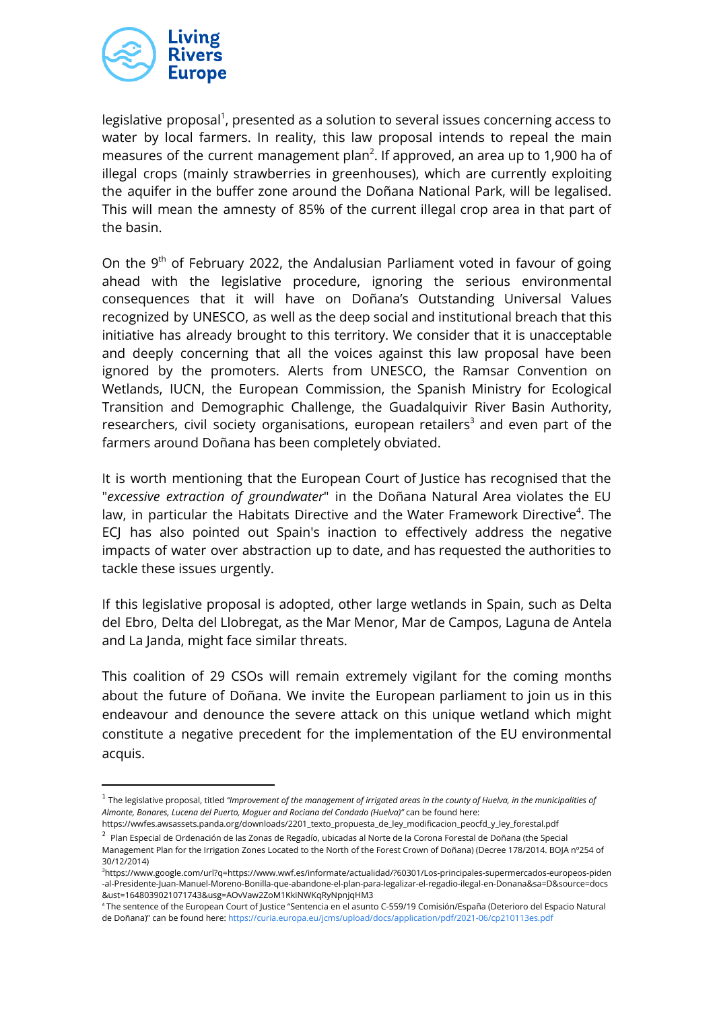

legislative proposal<sup>1</sup>, presented as a solution to several issues concerning access to water by local farmers. In reality, this law proposal intends to repeal the main measures of the current management plan<sup>2</sup>. If approved, an area up to 1,900 ha of illegal crops (mainly strawberries in greenhouses), which are currently exploiting the aquifer in the buffer zone around the Doñana National Park, will be legalised. This will mean the amnesty of 85% of the current illegal crop area in that part of the basin.

On the 9<sup>th</sup> of February 2022, the Andalusian Parliament voted in favour of going ahead with the legislative procedure, ignoring the serious environmental consequences that it will have on Doñana's Outstanding Universal Values recognized by UNESCO, as well as the deep social and institutional breach that this initiative has already brought to this territory. We consider that it is unacceptable and deeply concerning that all the voices against this law proposal have been ignored by the promoters. Alerts from UNESCO, the Ramsar Convention on Wetlands, IUCN, the European Commission, the Spanish Ministry for Ecological Transition and Demographic Challenge, the Guadalquivir River Basin Authority, researchers, civil society organisations, european retailers<sup>3</sup> and even part of the farmers around Doñana has been completely obviated.

It is worth mentioning that the European Court of Justice has recognised that the "*excessive extraction of groundwater*" in the Doñana Natural Area violates the EU law, in particular the Habitats Directive and the Water Framework Directive<sup>4</sup>. The ECJ has also pointed out Spain's inaction to effectively address the negative impacts of water over abstraction up to date, and has requested the authorities to tackle these issues urgently.

If this legislative proposal is adopted, other large wetlands in Spain, such as Delta del Ebro, Delta del Llobregat, as the Mar Menor, Mar de Campos, Laguna de Antela and La Janda, might face similar threats.

This coalition of 29 CSOs will remain extremely vigilant for the coming months about the future of Doñana. We invite the European parliament to join us in this endeavour and denounce the severe attack on this unique wetland which might constitute a negative precedent for the implementation of the EU environmental acquis.

 $^1$  The legislative proposal, titled "Improvement of the management of irrigated areas in the county of Huelva, in the municipalities of *Almonte, Bonares, Lucena del Puerto, Moguer and Rociana del Condado (Huelva)"* can be found here: https://wwfes.awsassets.panda.org/downloads/2201\_texto\_propuesta\_de\_ley\_modificacion\_peocfd\_y\_ley\_forestal.pdf

<sup>2</sup> Plan Especial de Ordenación de las Zonas de Regadío, ubicadas al Norte de la Corona Forestal de Doñana (the Special Management Plan for the Irrigation Zones Located to the North of the Forest Crown of Doñana) (Decree 178/2014. BOJA nº254 of 30/12/2014)

<sup>3</sup>https://www.google.com/url?q=https://www.wwf.es/informate/actualidad/?60301/Los-principales-supermercados-europeos-piden -al-Presidente-Juan-Manuel-Moreno-Bonilla-que-abandone-el-plan-para-legalizar-el-regadio-ilegal-en-Donana&sa=D&source=docs &ust=1648039021071743&usg=AOvVaw2ZoM1KkiNWKqRyNpnjqHM3

<sup>4</sup> The sentence of the European Court of Justice "Sentencia en el asunto C-559/19 Comisión/España (Deterioro del Espacio Natural de Doñana)" can be found here: <https://curia.europa.eu/jcms/upload/docs/application/pdf/2021-06/cp210113es.pdf>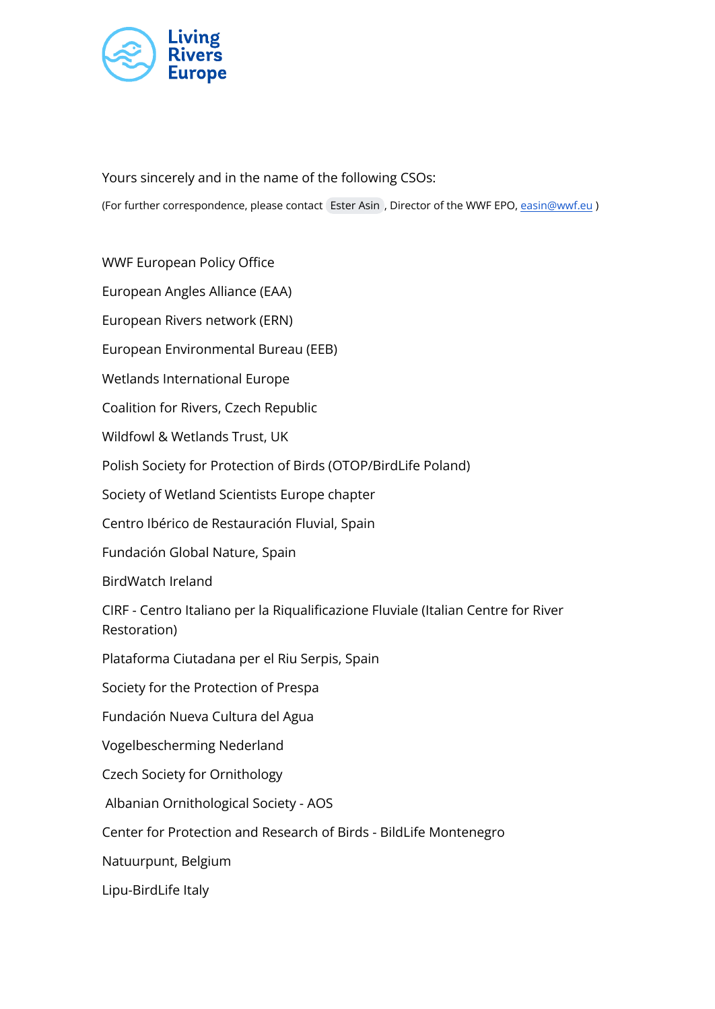

Yours sincerely and in the name of the following CSOs: (For further correspondence, please contact [Ester Asin](mailto:easin@wwf.eu) , Director of the WWF EPO, [easin@wwf.eu](mailto:easin@wwf.eu) )

WWF European Policy Office European Angles Alliance (EAA) European Rivers network (ERN) European Environmental Bureau (EEB) Wetlands International Europe Coalition for Rivers, Czech Republic Wildfowl & Wetlands Trust, UK Polish Society for Protection of Birds (OTOP/BirdLife Poland) Society of Wetland Scientists Europe chapter Centro Ibérico de Restauración Fluvial, Spain Fundación Global Nature, Spain BirdWatch Ireland CIRF - Centro Italiano per la Riqualificazione Fluviale (Italian Centre for River Restoration) Plataforma Ciutadana per el Riu Serpis, Spain Society for the Protection of Prespa Fundación Nueva Cultura del Agua Vogelbescherming Nederland Czech Society for Ornithology Albanian Ornithological Society - AOS Center for Protection and Research of Birds - BildLife Montenegro Natuurpunt, Belgium Lipu-BirdLife Italy